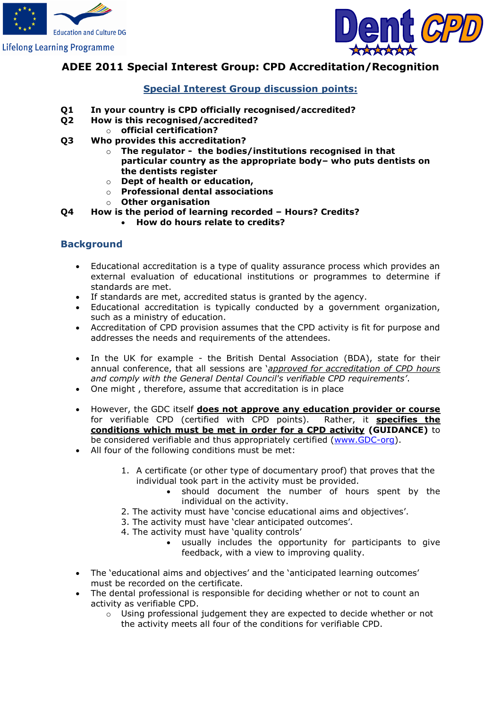



## **ADEE 2011 Special Interest Group: CPD Accreditation/Recognition**

## **Special Interest Group discussion points:**

- **Q1 In your country is CPD officially recognised/accredited?**
- **Q2 How is this recognised/accredited?** 
	- o **official certification?**
- **Q3 Who provides this accreditation?**
	- o **The regulator the bodies/institutions recognised in that particular country as the appropriate body– who puts dentists on the dentists register**
	- o **Dept of health or education,**
	- o **Professional dental associations**
	- o **Other organisation**
- **Q4 How is the period of learning recorded – Hours? Credits?**
	- **How do hours relate to credits?**

### **Background**

- Educational accreditation is a type of quality assurance process which provides an external evaluation of educational institutions or programmes to determine if standards are met.
- If standards are met, accredited status is granted by the agency.
- Educational accreditation is typically conducted by a government organization, such as a ministry of education.
- Accreditation of CPD provision assumes that the CPD activity is fit for purpose and addresses the needs and requirements of the attendees.
- In the UK for example the British Dental Association (BDA), state for their annual conference, that all sessions are '*approved for accreditation of CPD hours and comply with the General Dental Council's verifiable CPD requirements'*.
- One might , therefore, assume that accreditation is in place
- However, the GDC itself **does not approve any education provider or course** for verifiable CPD (certified with CPD points). Rather, it **specifies the conditions which must be met in order for a CPD activity (GUIDANCE)** to be considered verifiable and thus appropriately certified [\(www.GDC-org\)](http://www.gdc-org/).
- All four of the following conditions must be met:
	- 1. A certificate (or other type of documentary proof) that proves that the individual took part in the activity must be provided.
		- should document the number of hours spent by the individual on the activity.
	- 2. The activity must have 'concise educational aims and objectives'.
	- 3. The activity must have 'clear anticipated outcomes'.
	- 4. The activity must have 'quality controls'
		- usually includes the opportunity for participants to give feedback, with a view to improving quality.
- The 'educational aims and objectives' and the 'anticipated learning outcomes' must be recorded on the certificate.
- The dental professional is responsible for deciding whether or not to count an activity as verifiable CPD.
	- $\circ$  Using professional judgement they are expected to decide whether or not the activity meets all four of the conditions for verifiable CPD.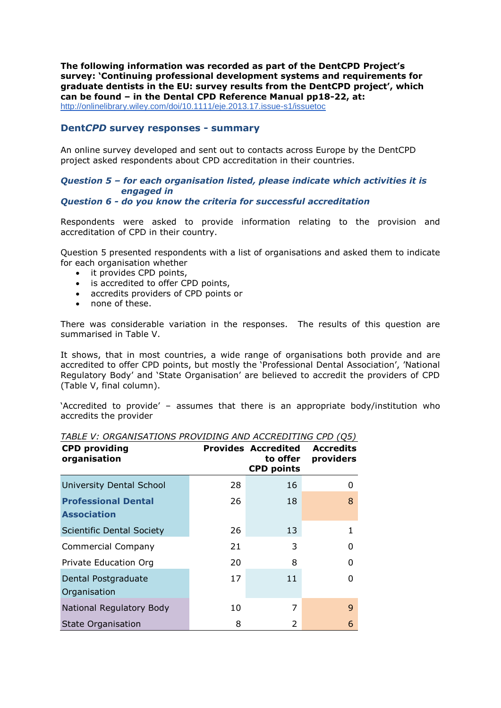**The following information was recorded as part of the DentCPD Project's survey: 'Continuing professional development systems and requirements for graduate dentists in the EU: survey results from the DentCPD project', which can be found – in the Dental CPD Reference Manual pp18-22, at:** <http://onlinelibrary.wiley.com/doi/10.1111/eje.2013.17.issue-s1/issuetoc>

### **Dent***CPD* **survey responses - summary**

An online survey developed and sent out to contacts across Europe by the DentCPD project asked respondents about CPD accreditation in their countries.

## *Question 5 – for each organisation listed, please indicate which activities it is engaged in*

*Question 6 - do you know the criteria for successful accreditation*

Respondents were asked to provide information relating to the provision and accreditation of CPD in their country.

Question 5 presented respondents with a list of organisations and asked them to indicate for each organisation whether

- it provides CPD points,
- is accredited to offer CPD points,
- accredits providers of CPD points or
- none of these.

There was considerable variation in the responses. The results of this question are summarised in Table V.

It shows, that in most countries, a wide range of organisations both provide and are accredited to offer CPD points, but mostly the 'Professional Dental Association', 'National Regulatory Body' and 'State Organisation' are believed to accredit the providers of CPD (Table V, final column).

'Accredited to provide' – assumes that there is an appropriate body/institution who accredits the provider

| <b>CPD providing</b><br>organisation             |    | <b>Provides Accredited</b><br>to offer<br><b>CPD points</b> | <b>Accredits</b><br>providers |
|--------------------------------------------------|----|-------------------------------------------------------------|-------------------------------|
| <b>University Dental School</b>                  | 28 | 16                                                          | O                             |
| <b>Professional Dental</b><br><b>Association</b> | 26 | 18                                                          | 8                             |
| <b>Scientific Dental Society</b>                 | 26 | 13                                                          |                               |
| <b>Commercial Company</b>                        | 21 | 3                                                           |                               |
| Private Education Org                            | 20 | 8                                                           | n                             |
| Dental Postgraduate<br>Organisation              | 17 | 11                                                          |                               |
| National Regulatory Body                         | 10 | 7                                                           | 9                             |
| <b>State Organisation</b>                        | 8  | 2                                                           | 6                             |

*TABLE V: ORGANISATIONS PROVIDING AND ACCREDITING CPD (Q5)*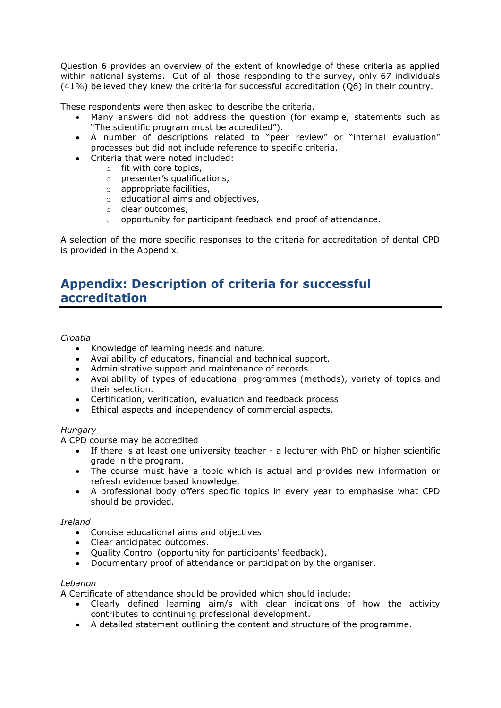Question 6 provides an overview of the extent of knowledge of these criteria as applied within national systems. Out of all those responding to the survey, only 67 individuals (41%) believed they knew the criteria for successful accreditation (Q6) in their country.

These respondents were then asked to describe the criteria.

- Many answers did not address the question (for example, statements such as "The scientific program must be accredited").
- A number of descriptions related to "peer review" or "internal evaluation" processes but did not include reference to specific criteria.
- Criteria that were noted included:
	- o fit with core topics,
	- o presenter's qualifications,
	- o appropriate facilities,
	- o educational aims and objectives,
	- o clear outcomes,
	- o opportunity for participant feedback and proof of attendance.

A selection of the more specific responses to the criteria for accreditation of dental CPD is provided in the Appendix.

# **Appendix: Description of criteria for successful accreditation**

#### *Croatia*

- Knowledge of learning needs and nature.
- Availability of educators, financial and technical support.
- Administrative support and maintenance of records
- Availability of types of educational programmes (methods), variety of topics and their selection.
- Certification, verification, evaluation and feedback process.
- Ethical aspects and independency of commercial aspects.

#### *Hungary*

A CPD course may be accredited

- If there is at least one university teacher a lecturer with PhD or higher scientific grade in the program.
- The course must have a topic which is actual and provides new information or refresh evidence based knowledge.
- A professional body offers specific topics in every year to emphasise what CPD should be provided.

#### *Ireland*

- Concise educational aims and objectives.
- Clear anticipated outcomes.
- Quality Control (opportunity for participants' feedback).
- Documentary proof of attendance or participation by the organiser.

#### *Lebanon*

A Certificate of attendance should be provided which should include:

- Clearly defined learning aim/s with clear indications of how the activity contributes to continuing professional development.
- A detailed statement outlining the content and structure of the programme.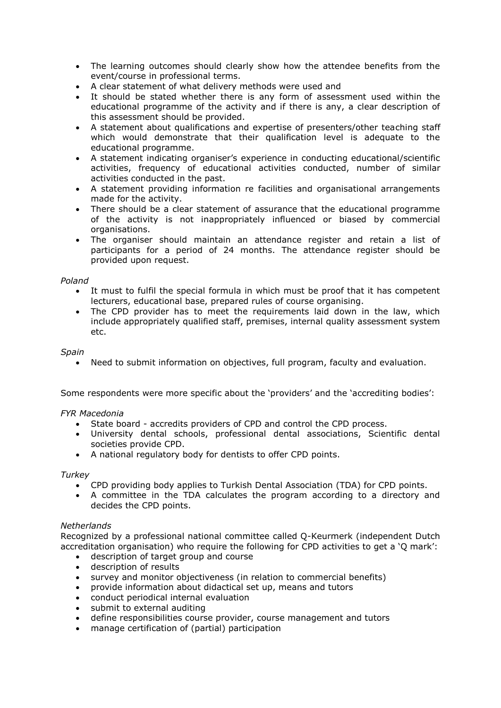- The learning outcomes should clearly show how the attendee benefits from the event/course in professional terms.
- A clear statement of what delivery methods were used and
- It should be stated whether there is any form of assessment used within the educational programme of the activity and if there is any, a clear description of this assessment should be provided.
- A statement about qualifications and expertise of presenters/other teaching staff which would demonstrate that their qualification level is adequate to the educational programme.
- A statement indicating organiser's experience in conducting educational/scientific activities, frequency of educational activities conducted, number of similar activities conducted in the past.
- A statement providing information re facilities and organisational arrangements made for the activity.
- There should be a clear statement of assurance that the educational programme of the activity is not inappropriately influenced or biased by commercial organisations.
- The organiser should maintain an attendance register and retain a list of participants for a period of 24 months. The attendance register should be provided upon request.

#### *Poland*

- It must to fulfil the special formula in which must be proof that it has competent lecturers, educational base, prepared rules of course organising.
- The CPD provider has to meet the requirements laid down in the law, which include appropriately qualified staff, premises, internal quality assessment system etc.

### *Spain*

Need to submit information on objectives, full program, faculty and evaluation.

Some respondents were more specific about the 'providers' and the 'accrediting bodies':

#### *FYR Macedonia*

- State board accredits providers of CPD and control the CPD process.
- University dental schools, professional dental associations, Scientific dental societies provide CPD.
- A national regulatory body for dentists to offer CPD points.

#### *Turkey*

- CPD providing body applies to Turkish Dental Association (TDA) for CPD points.
- A committee in the TDA calculates the program according to a directory and decides the CPD points.

#### *Netherlands*

Recognized by a professional national committee called Q-Keurmerk (independent Dutch accreditation organisation) who require the following for CPD activities to get a 'Q mark':

- description of target group and course
- description of results
- survey and monitor objectiveness (in relation to commercial benefits)
- provide information about didactical set up, means and tutors
- conduct periodical internal evaluation
- submit to external auditing
- define responsibilities course provider, course management and tutors
- manage certification of (partial) participation